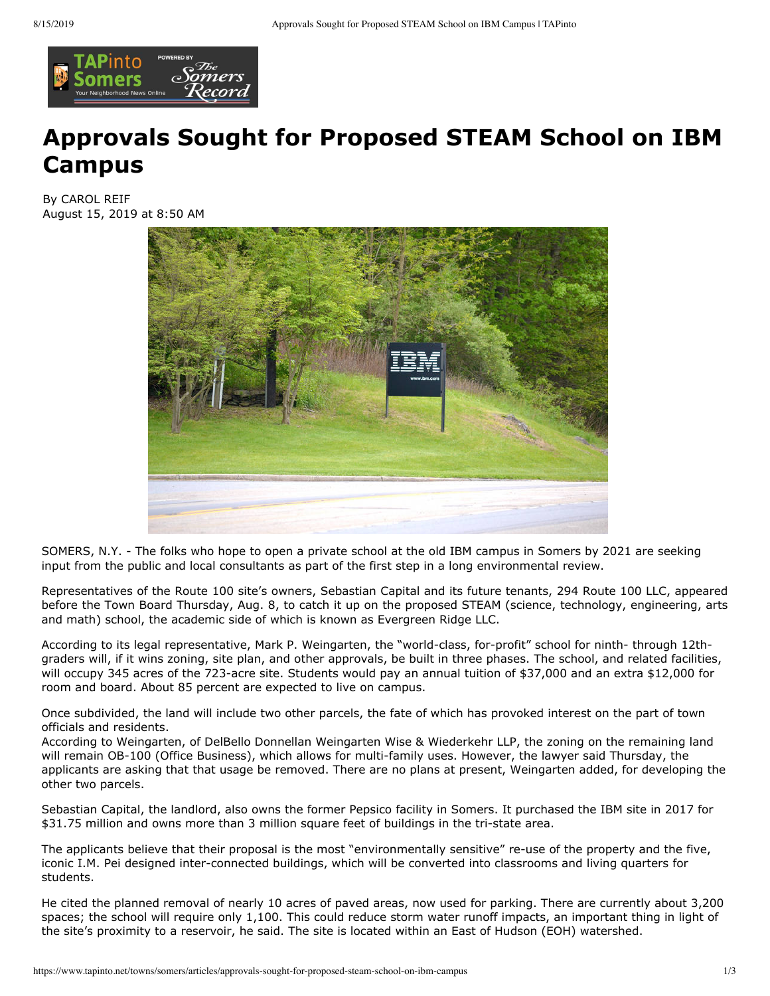

## **Approvals Sought for Proposed STEAM School on IBM Campus**

**By CAROL REIF** August 15, 2019 at 8:50 AM



SOMERS, N.Y. - The folks who hope to open a private school at the old IBM campus in Somers by 2021 are seeking input from the public and local consultants as part of the first step in a long environmental review.

Representatives of the Route 100 site's owners, Sebastian Capital and its future tenants, 294 Route 100 LLC, appeared before the Town Board Thursday, Aug. 8, to catch it up on the proposed STEAM (science, technology, engineering, arts and math) school, the academic side of which is known as Evergreen Ridge LLC.

According to its legal representative, Mark P. Weingarten, the "world-class, for-profit" school for ninth- through 12thgraders will, if it wins zoning, site plan, and other approvals, be built in three phases. The school, and related facilities, will occupy 345 acres of the 723-acre site. Students would pay an annual tuition of \$37,000 and an extra \$12,000 for room and board. About 85 percent are expected to live on campus.

Once subdivided, the land will include two other parcels, the fate of which has provoked interest on the part of town officials and residents.

According to Weingarten, of DelBello Donnellan Weingarten Wise & Wiederkehr LLP, the zoning on the remaining land will remain OB-100 (Office Business), which allows for multi-family uses. However, the lawyer said Thursday, the applicants are asking that that usage be removed. There are no plans at present, Weingarten added, for developing the other two parcels.

Sebastian Capital, the landlord, also owns the former Pepsico facility in Somers. It purchased the IBM site in 2017 for \$31.75 million and owns more than 3 million square feet of buildings in the tri-state area.

The applicants believe that their proposal is the most "environmentally sensitive" re-use of the property and the five, iconic I.M. Pei designed inter-connected buildings, which will be converted into classrooms and living quarters for students.

He cited the planned removal of nearly 10 acres of paved areas, now used for parking. There are currently about 3,200 spaces; the school will require only 1,100. This could reduce storm water runoff impacts, an important thing in light of the site's proximity to a reservoir, he said. The site is located within an East of Hudson (EOH) watershed.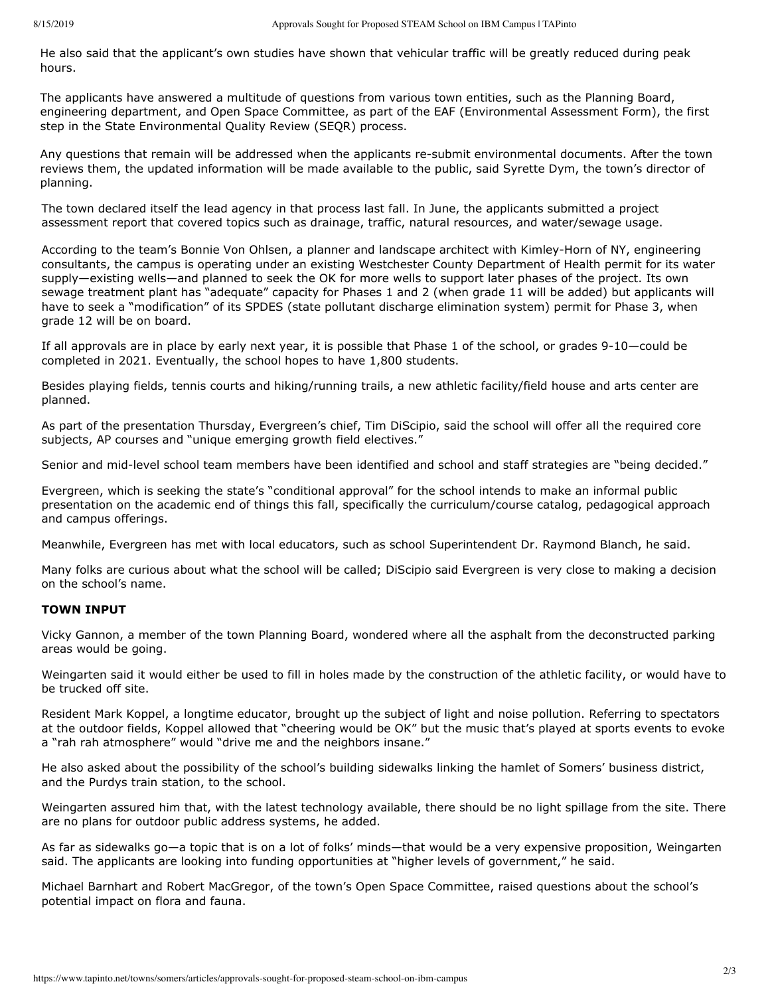He also said that the applicant's own studies have shown that vehicular traffic will be greatly reduced during peak hours.

The applicants have answered a multitude of questions from various town entities, such as the Planning Board, engineering department, and Open Space Committee, as part of the EAF (Environmental Assessment Form), the first step in the State Environmental Quality Review (SEQR) process.

Any questions that remain will be addressed when the applicants re-submit environmental documents. After the town reviews them, the updated information will be made available to the public, said Syrette Dym, the town's director of planning.

The town declared itself the lead agency in that process last fall. In June, the applicants submitted a project assessment report that covered topics such as drainage, traffic, natural resources, and water/sewage usage.

According to the team's Bonnie Von Ohlsen, a planner and landscape architect with Kimley-Horn of NY, engineering consultants, the campus is operating under an existing Westchester County Department of Health permit for its water supply—existing wells—and planned to seek the OK for more wells to support later phases of the project. Its own sewage treatment plant has "adequate" capacity for Phases 1 and 2 (when grade 11 will be added) but applicants will have to seek a "modification" of its SPDES (state pollutant discharge elimination system) permit for Phase 3, when grade 12 will be on board.

If all approvals are in place by early next year, it is possible that Phase 1 of the school, or grades 9-10-could be completed in 2021. Eventually, the school hopes to have 1,800 students.

Besides playing fields, tennis courts and hiking/running trails, a new athletic facility/field house and arts center are planned.

As part of the presentation Thursday, Evergreen's chief, Tim DiScipio, said the school will offer all the required core subjects, AP courses and "unique emerging growth field electives."

Senior and mid-level school team members have been identified and school and staff strategies are "being decided."

Evergreen, which is seeking the state's "conditional approval" for the school intends to make an informal public presentation on the academic end of things this fall, specifically the curriculum/course catalog, pedagogical approach and campus offerings.

Meanwhile, Evergreen has met with local educators, such as school Superintendent Dr. Raymond Blanch, he said.

Many folks are curious about what the school will be called; DiScipio said Evergreen is very close to making a decision on the school's name.

## **TOWN INPUT**

Vicky Gannon, a member of the town Planning Board, wondered where all the asphalt from the deconstructed parking areas would be going.

Weingarten said it would either be used to fill in holes made by the construction of the athletic facility, or would have to be trucked off site.

Resident Mark Koppel, a longtime educator, brought up the subject of light and noise pollution. Referring to spectators at the outdoor fields, Koppel allowed that "cheering would be OK" but the music that's played at sports events to evoke a "rah rah atmosphere" would "drive me and the neighbors insane."

He also asked about the possibility of the school's building sidewalks linking the hamlet of Somers' business district, and the Purdys train station, to the school.

Weingarten assured him that, with the latest technology available, there should be no light spillage from the site. There are no plans for outdoor public address systems, he added.

As far as sidewalks go—a topic that is on a lot of folks' minds—that would be a very expensive proposition, Weingarten said. The applicants are looking into funding opportunities at "higher levels of government," he said.

Michael Barnhart and Robert MacGregor, of the town's Open Space Committee, raised questions about the school's potential impact on flora and fauna.